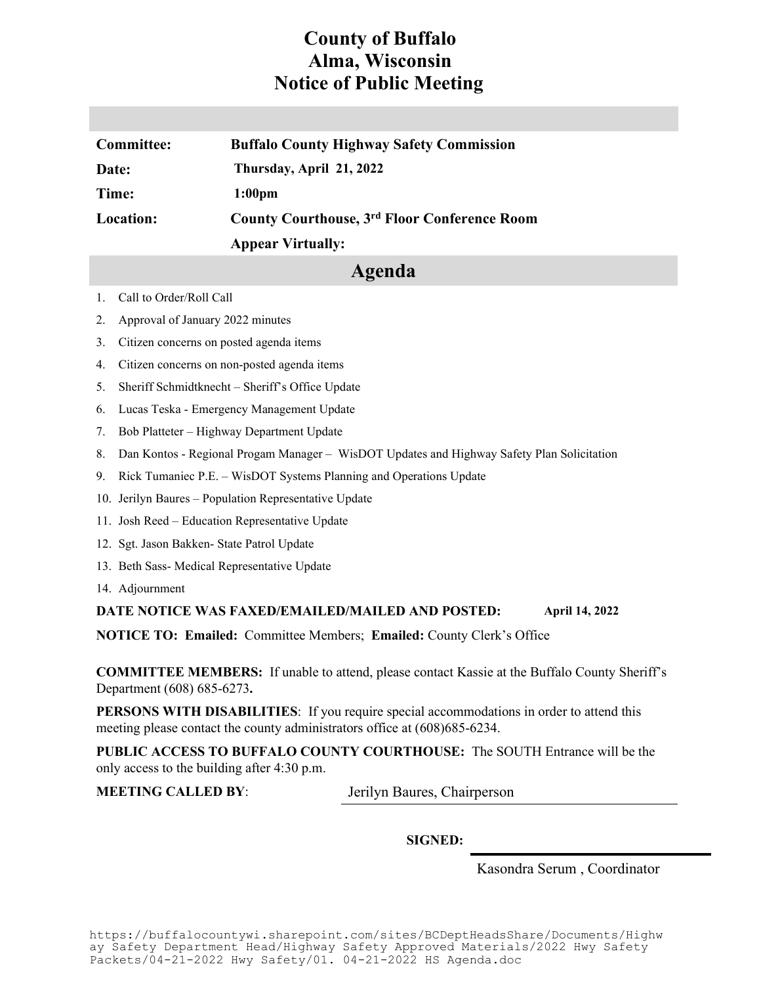## **County of Buffalo Alma, Wisconsin Notice of Public Meeting**

| Committee: | <b>Buffalo County Highway Safety Commission</b> |
|------------|-------------------------------------------------|
| Date:      | Thursday, April 21, 2022                        |
| Time:      | 1:00 <sub>pm</sub>                              |
| Location:  | County Courthouse, 3rd Floor Conference Room    |
|            | <b>Appear Virtually:</b>                        |

## **Agenda**

- 1. Call to Order/Roll Call
- 2. Approval of January 2022 minutes
- 3. Citizen concerns on posted agenda items
- 4. Citizen concerns on non-posted agenda items
- 5. Sheriff Schmidtknecht Sheriff's Office Update
- 6. Lucas Teska Emergency Management Update
- 7. Bob Platteter Highway Department Update
- 8. Dan Kontos Regional Progam Manager WisDOT Updates and Highway Safety Plan Solicitation
- 9. Rick Tumaniec P.E. WisDOT Systems Planning and Operations Update
- 10. Jerilyn Baures Population Representative Update
- 11. Josh Reed Education Representative Update
- 12. Sgt. Jason Bakken- State Patrol Update
- 13. Beth Sass- Medical Representative Update
- 14. Adjournment

## **DATE NOTICE WAS FAXED/EMAILED/MAILED AND POSTED: April 14, 2022**

**NOTICE TO: Emailed:** Committee Members; **Emailed:** County Clerk's Office

**COMMITTEE MEMBERS:** If unable to attend, please contact Kassie at the Buffalo County Sheriff's Department (608) 685-6273**.**

**PERSONS WITH DISABILITIES:** If you require special accommodations in order to attend this meeting please contact the county administrators office at (608)685-6234.

**PUBLIC ACCESS TO BUFFALO COUNTY COURTHOUSE:** The SOUTH Entrance will be the only access to the building after 4:30 p.m.

**MEETING CALLED BY**: Jerilyn Baures, Chairperson

**SIGNED:**

Kasondra Serum , Coordinator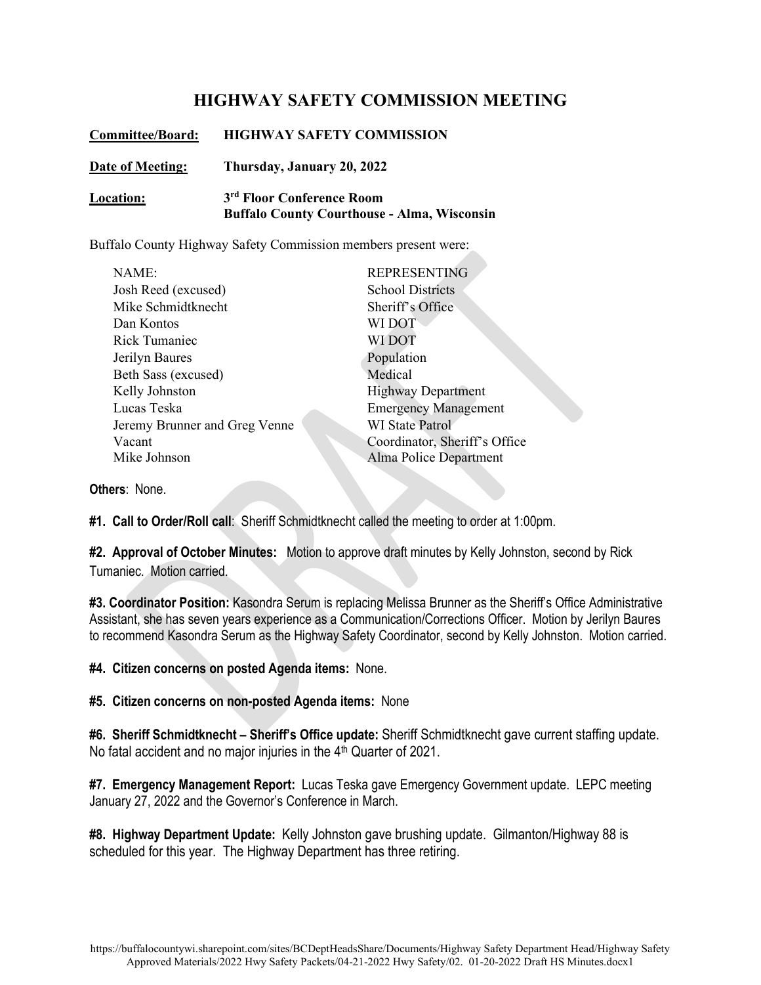## **HIGHWAY SAFETY COMMISSION MEETING**

| <b>Committee/Board:</b> | <b>HIGHWAY SAFETY COMMISSION</b>                                                            |
|-------------------------|---------------------------------------------------------------------------------------------|
| Date of Meeting:        | Thursday, January 20, 2022                                                                  |
| Location:               | 3 <sup>rd</sup> Floor Conference Room<br><b>Buffalo County Courthouse - Alma, Wisconsin</b> |

Buffalo County Highway Safety Commission members present were:

| <b>REPRESENTING</b>           |
|-------------------------------|
| <b>School Districts</b>       |
| Sheriff's Office              |
| WI DOT                        |
| WI DOT                        |
| Population                    |
| Medical                       |
| <b>Highway Department</b>     |
| <b>Emergency Management</b>   |
| <b>WI</b> State Patrol        |
| Coordinator, Sheriff's Office |
| Alma Police Department        |
|                               |

**Others**: None.

**#1. Call to Order/Roll call**: Sheriff Schmidtknecht called the meeting to order at 1:00pm.

**#2. Approval of October Minutes:** Motion to approve draft minutes by Kelly Johnston, second by Rick Tumaniec. Motion carried.

**#3. Coordinator Position:** Kasondra Serum is replacing Melissa Brunner as the Sheriff's Office Administrative Assistant, she has seven years experience as a Communication/Corrections Officer. Motion by Jerilyn Baures to recommend Kasondra Serum as the Highway Safety Coordinator, second by Kelly Johnston. Motion carried.

**#4. Citizen concerns on posted Agenda items:** None.

**#5. Citizen concerns on non-posted Agenda items:** None

**#6. Sheriff Schmidtknecht – Sheriff's Office update:** Sheriff Schmidtknecht gave current staffing update. No fatal accident and no major injuries in the 4<sup>th</sup> Quarter of 2021.

**#7. Emergency Management Report:** Lucas Teska gave Emergency Government update. LEPC meeting January 27, 2022 and the Governor's Conference in March.

**#8. Highway Department Update:** Kelly Johnston gave brushing update. Gilmanton/Highway 88 is scheduled for this year. The Highway Department has three retiring.